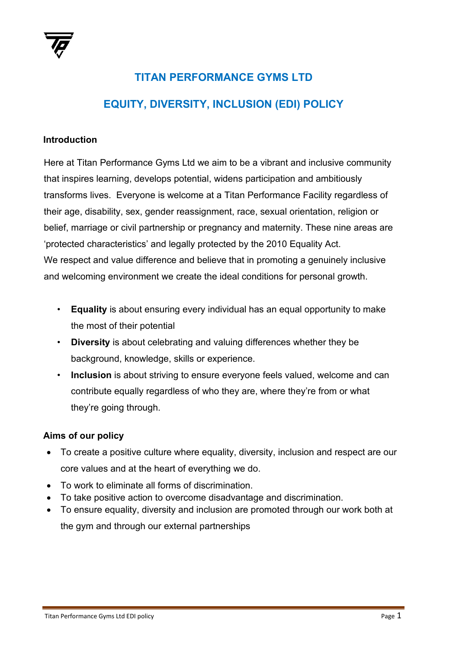

## **TITAN PERFORMANCE GYMS LTD EQUITY, DIVERSITY, INCLUSION (EDI) POLICY**

## **Introduction**

Here at Titan Performance Gyms Ltd we aim to be a vibrant and inclusive community that inspires learning, develops potential, widens participation and ambitiously transforms lives. Everyone is welcome at a Titan Performance Facility regardless of their age, disability, sex, gender reassignment, race, sexual orientation, religion or belief, marriage or civil partnership or pregnancy and maternity. These nine areas are 'protected characteristics' and legally protected by the 2010 Equality Act. We respect and value difference and believe that in promoting a genuinely inclusive and welcoming environment we create the ideal conditions for personal growth.

- **Equality** is about ensuring every individual has an equal opportunity to make the most of their potential
- **Diversity** is about celebrating and valuing differences whether they be background, knowledge, skills or experience.
- **Inclusion** is about striving to ensure everyone feels valued, welcome and can contribute equally regardless of who they are, where they're from or what they're going through.

## **Aims of our policy**

- To create a positive culture where equality, diversity, inclusion and respect are our core values and at the heart of everything we do.
- To work to eliminate all forms of discrimination.
- To take positive action to overcome disadvantage and discrimination.
- To ensure equality, diversity and inclusion are promoted through our work both at the gym and through our external partnerships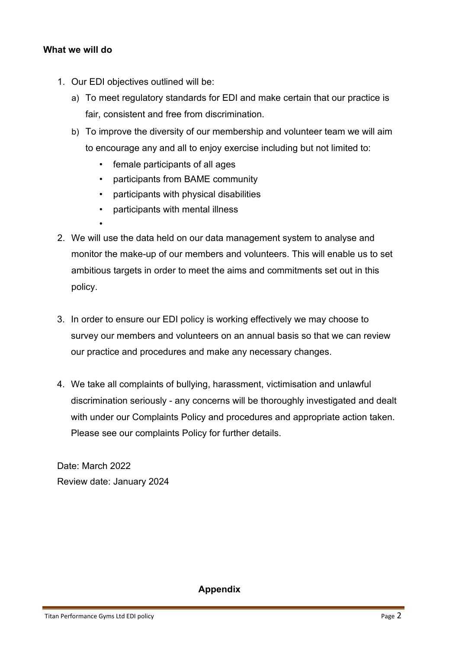## **What we will do**

- 1. Our EDI objectives outlined will be:
	- a) To meet regulatory standards for EDI and make certain that our practice is fair, consistent and free from discrimination.
	- b) To improve the diversity of our membership and volunteer team we will aim to encourage any and all to enjoy exercise including but not limited to:
		- female participants of all ages
		- participants from BAME community
		- participants with physical disabilities
		- participants with mental illness
- 2. We will use the data held on our data management system to analyse and monitor the make-up of our members and volunteers. This will enable us to set ambitious targets in order to meet the aims and commitments set out in this policy.
	- 3. In order to ensure our EDI policy is working effectively we may choose to survey our members and volunteers on an annual basis so that we can review our practice and procedures and make any necessary changes.
	- 4. We take all complaints of bullying, harassment, victimisation and unlawful discrimination seriously - any concerns will be thoroughly investigated and dealt with under our Complaints Policy and procedures and appropriate action taken. Please see our complaints Policy for further details.

Date: March 2022 Review date: January 2024

**Appendix**